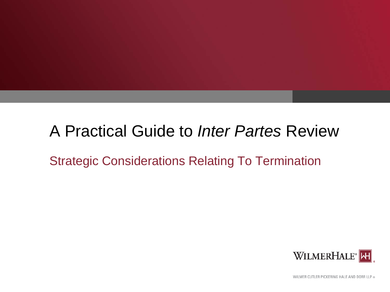# A Practical Guide to *Inter Partes* Review

### Strategic Considerations Relating To Termination



WILMER CUTLER PICKERING HALE AND DORR LLP ®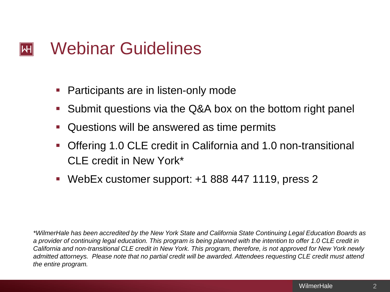#### Webinar Guidelines  $\left\Vert \mathsf{H}\right\Vert$

- Participants are in listen-only mode
- Submit questions via the Q&A box on the bottom right panel
- Questions will be answered as time permits
- Offering 1.0 CLE credit in California and 1.0 non-transitional CLE credit in New York\*
- WebEx customer support: +1 888 447 1119, press 2

*\*WilmerHale has been accredited by the New York State and California State Continuing Legal Education Boards as a provider of continuing legal education. This program is being planned with the intention to offer 1.0 CLE credit in California and non-transitional CLE credit in New York. This program, therefore, is not approved for New York newly admitted attorneys. Please note that no partial credit will be awarded. Attendees requesting CLE credit must attend the entire program.*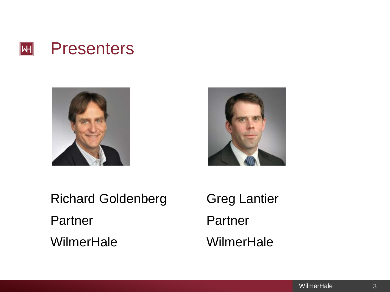





Richard Goldenberg Greg Lantier Partner Partner WilmerHale WilmerHale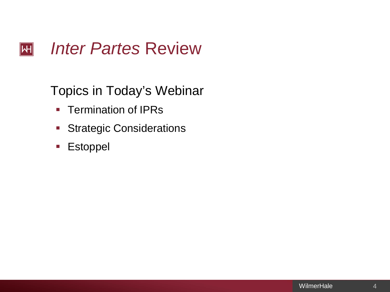#### *Inter Partes* Review  $\overline{H}$

### Topics in Today's Webinar

- **Termination of IPRs**
- **Strategic Considerations**
- **Estoppel**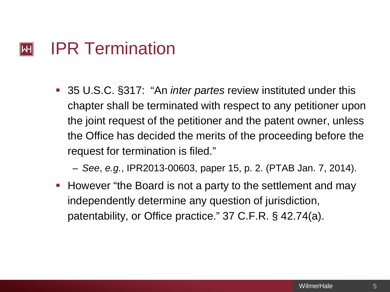#### IPR Termination  $\left\vert \mathsf{H}\right\vert$

- 35 U.S.C. §317: "An *inter partes* review instituted under this chapter shall be terminated with respect to any petitioner upon the joint request of the petitioner and the patent owner, unless the Office has decided the merits of the proceeding before the request for termination is filed."
	- *See*, *e.g.*, IPR2013-00603, paper 15, p. 2. (PTAB Jan. 7, 2014).
- **However "the Board is not a party to the settlement and may** independently determine any question of jurisdiction, patentability, or Office practice." 37 C.F.R. § 42.74(a).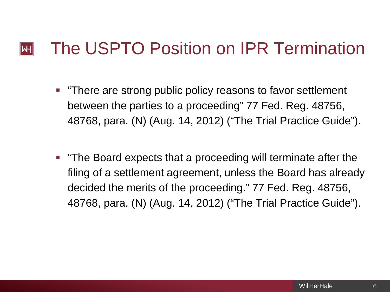#### The USPTO Position on IPR Termination  $\mathsf{I}\mathsf{H}\mathsf{I}$

- **There are strong public policy reasons to favor settlement** between the parties to a proceeding" 77 Fed. Reg. 48756, 48768, para. (N) (Aug. 14, 2012) ("The Trial Practice Guide").
- "The Board expects that a proceeding will terminate after the filing of a settlement agreement, unless the Board has already decided the merits of the proceeding." 77 Fed. Reg. 48756, 48768, para. (N) (Aug. 14, 2012) ("The Trial Practice Guide").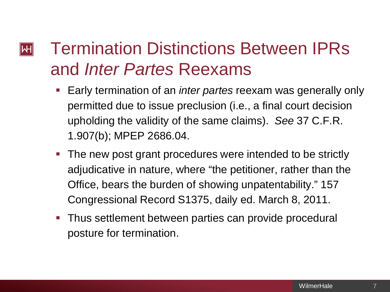### Termination Distinctions Between IPRs  $\left\| \mathsf{H} \right\|$ and *Inter Partes* Reexams

- Early termination of an *inter partes* reexam was generally only permitted due to issue preclusion (i.e., a final court decision upholding the validity of the same claims). *See* 37 C.F.R. 1.907(b); MPEP 2686.04.
- **The new post grant procedures were intended to be strictly** adjudicative in nature, where "the petitioner, rather than the Office, bears the burden of showing unpatentability." 157 Congressional Record S1375, daily ed. March 8, 2011.
- **Thus settlement between parties can provide procedural** posture for termination.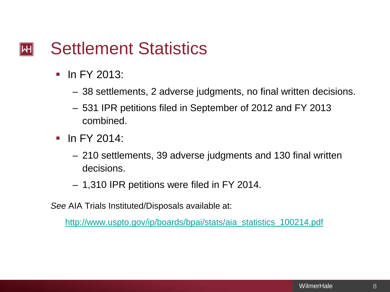#### Settlement Statistics  $\left\| \mathsf{H} \right\|$

- $\blacksquare$  In FY 2013:
	- 38 settlements, 2 adverse judgments, no final written decisions.
	- 531 IPR petitions filed in September of 2012 and FY 2013 combined.
- $\blacksquare$  In FY 2014:
	- 210 settlements, 39 adverse judgments and 130 final written decisions.
	- 1,310 IPR petitions were filed in FY 2014.

*See* AIA Trials Instituted/Disposals available at:

[http://www.uspto.gov/ip/boards/bpai/stats/aia\\_statistics\\_100214.pdf](http://www.uspto.gov/ip/boards/bpai/stats/aia_statistics_100214.pdf)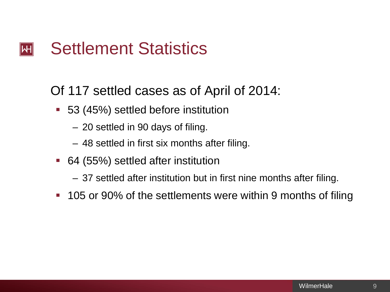#### Settlement Statistics  $\left\Vert \mathsf{H}\right\Vert$

Of 117 settled cases as of April of 2014:

- 53 (45%) settled before institution
	- 20 settled in 90 days of filing.
	- 48 settled in first six months after filing.
- 64 (55%) settled after institution
	- 37 settled after institution but in first nine months after filing.
- 105 or 90% of the settlements were within 9 months of filing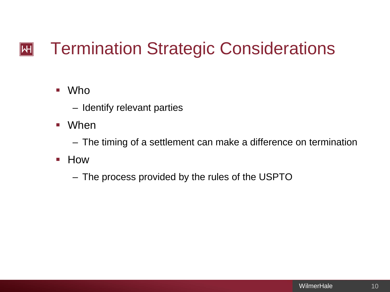### Termination Strategic Considerations  $|\mathsf{H}|$

### ■ Who

- Identify relevant parties
- When
	- The timing of a settlement can make a difference on termination
- **E** How
	- The process provided by the rules of the USPTO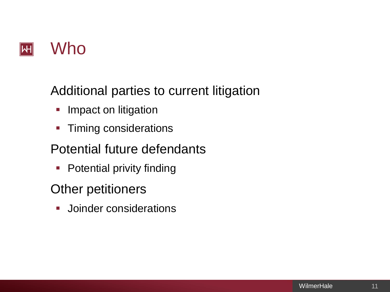

Additional parties to current litigation

- **Impact on litigation**
- **Timing considerations**

### Potential future defendants

**Potential privity finding** 

### Other petitioners

**Joinder considerations**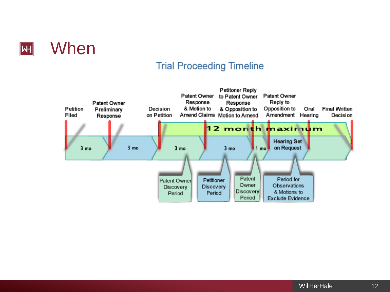

### **Trial Proceeding Timeline**

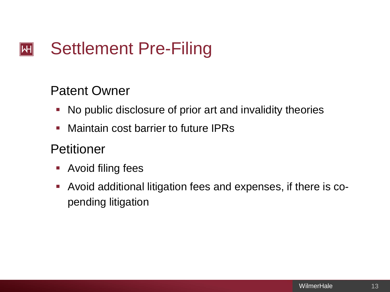### Settlement Pre-Filing  $\left\Vert \mathsf{H}\right\Vert$

### Patent Owner

- No public disclosure of prior art and invalidity theories
- **Maintain cost barrier to future IPRs**

### Petitioner

- **Avoid filing fees**
- Avoid additional litigation fees and expenses, if there is copending litigation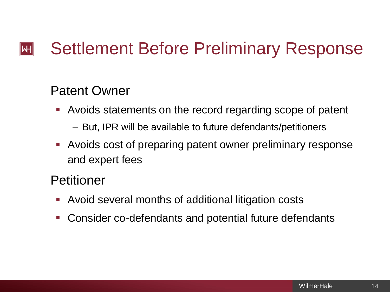### Settlement Before Preliminary Response  $\mathsf{I}\mathsf{H}\mathsf{I}$

### Patent Owner

- Avoids statements on the record regarding scope of patent
	- But, IPR will be available to future defendants/petitioners
- Avoids cost of preparing patent owner preliminary response and expert fees

### Petitioner

- Avoid several months of additional litigation costs
- Consider co-defendants and potential future defendants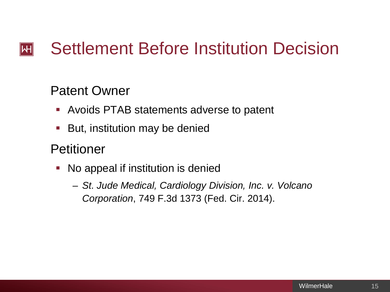### Settlement Before Institution Decision  $\left\Vert \mathsf{H}\right\Vert$

### Patent Owner

- Avoids PTAB statements adverse to patent
- But, institution may be denied

### Petitioner

- No appeal if institution is denied
	- *St. Jude Medical, Cardiology Division, Inc. v. Volcano Corporation*, 749 F.3d 1373 (Fed. Cir. 2014).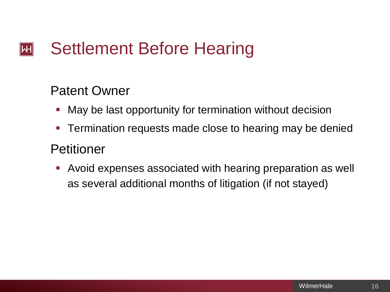### Settlement Before Hearing  $\left\Vert \mathsf{H}\right\Vert$

### Patent Owner

- **Nay be last opportunity for termination without decision**
- **Termination requests made close to hearing may be denied**

### Petitioner

 Avoid expenses associated with hearing preparation as well as several additional months of litigation (if not stayed)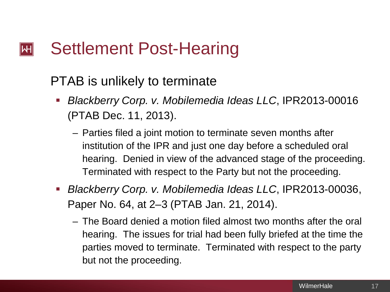#### Settlement Post-Hearing  $\mathsf{I}\mathsf{H}$

### PTAB is unlikely to terminate

- *Blackberry Corp. v. Mobilemedia Ideas LLC*, IPR2013-00016 (PTAB Dec. 11, 2013).
	- Parties filed a joint motion to terminate seven months after institution of the IPR and just one day before a scheduled oral hearing. Denied in view of the advanced stage of the proceeding. Terminated with respect to the Party but not the proceeding.
- *Blackberry Corp. v. Mobilemedia Ideas LLC*, IPR2013-00036, Paper No. 64, at 2–3 (PTAB Jan. 21, 2014).
	- The Board denied a motion filed almost two months after the oral hearing. The issues for trial had been fully briefed at the time the parties moved to terminate. Terminated with respect to the party but not the proceeding.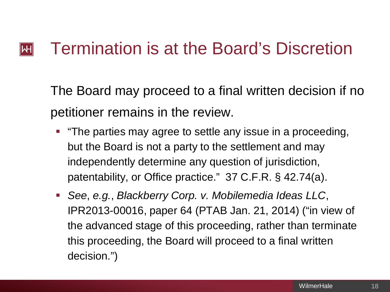#### Termination is at the Board's Discretion  $\left\Vert \mathsf{H}\right\Vert$

The Board may proceed to a final written decision if no petitioner remains in the review.

- "The parties may agree to settle any issue in a proceeding, but the Board is not a party to the settlement and may independently determine any question of jurisdiction, patentability, or Office practice." 37 C.F.R. § 42.74(a).
- *See*, *e.g.*, *Blackberry Corp. v. Mobilemedia Ideas LLC*, IPR2013-00016, paper 64 (PTAB Jan. 21, 2014) ("in view of the advanced stage of this proceeding, rather than terminate this proceeding, the Board will proceed to a final written decision.")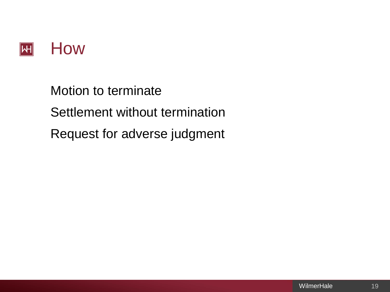

Motion to terminate Settlement without termination Request for adverse judgment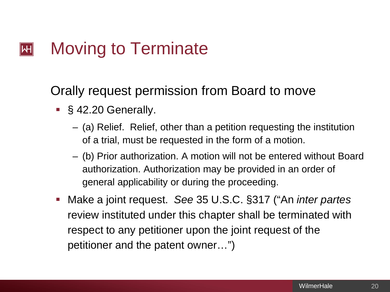#### Moving to Terminate  $\left\Vert \mathsf{H}\right\Vert$

Orally request permission from Board to move

- §42.20 Generally.
	- (a) Relief. Relief, other than a petition requesting the institution of a trial, must be requested in the form of a motion.
	- (b) Prior authorization. A motion will not be entered without Board authorization. Authorization may be provided in an order of general applicability or during the proceeding.
- Make a joint request. *See* 35 U.S.C. §317 ("An *inter partes*  review instituted under this chapter shall be terminated with respect to any petitioner upon the joint request of the petitioner and the patent owner…")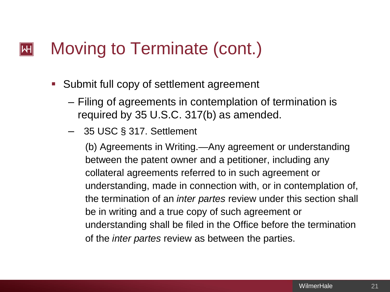#### Moving to Terminate (cont.)  $\mathsf{I}\mathsf{H}\mathsf{I}$

- **Submit full copy of settlement agreement** 
	- Filing of agreements in contemplation of termination is required by 35 U.S.C. 317(b) as amended.
	- 35 USC § 317. Settlement

(b) Agreements in Writing.—Any agreement or understanding between the patent owner and a petitioner, including any collateral agreements referred to in such agreement or understanding, made in connection with, or in contemplation of, the termination of an *inter partes* review under this section shall be in writing and a true copy of such agreement or understanding shall be filed in the Office before the termination of the *inter partes* review as between the parties.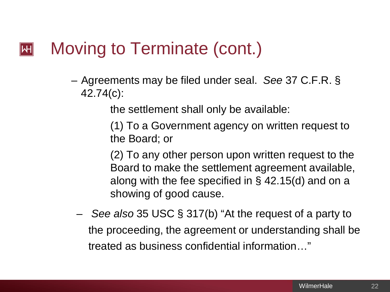#### Moving to Terminate (cont.)  $\mathsf{I}\mathsf{H}\mathsf{I}$

– Agreements may be filed under seal. *See* 37 C.F.R. § 42.74(c):

the settlement shall only be available:

(1) To a Government agency on written request to the Board; or

(2) To any other person upon written request to the Board to make the settlement agreement available, along with the fee specified in § 42.15(d) and on a showing of good cause.

– *See also* 35 USC § 317(b) "At the request of a party to the proceeding, the agreement or understanding shall be treated as business confidential information…"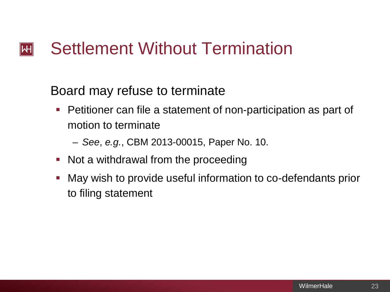#### Settlement Without Termination  $\left\Vert \mathsf{H}\right\Vert$

Board may refuse to terminate

**Petitioner can file a statement of non-participation as part of** motion to terminate

– *See*, *e.g.*, CBM 2013-00015, Paper No. 10.

- Not a withdrawal from the proceeding
- May wish to provide useful information to co-defendants prior to filing statement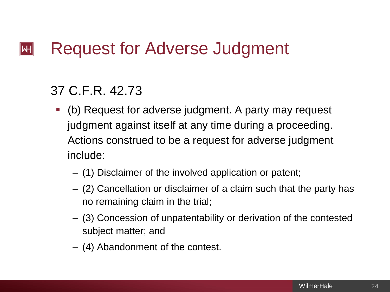#### Request for Adverse Judgment  $\mathsf{|\mathsf{H}|}$

### 37 C.F.R. 42.73

- (b) Request for adverse judgment. A party may request judgment against itself at any time during a proceeding. Actions construed to be a request for adverse judgment include:
	- (1) Disclaimer of the involved application or patent;
	- (2) Cancellation or disclaimer of a claim such that the party has no remaining claim in the trial;
	- (3) Concession of unpatentability or derivation of the contested subject matter; and
	- (4) Abandonment of the contest.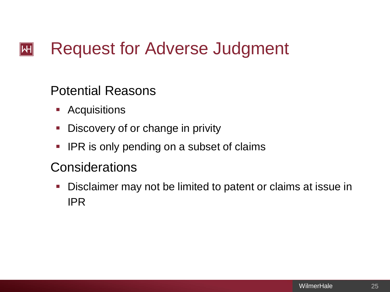#### Request for Adverse Judgment  $\left\Vert \mathsf{H}\right\Vert$

### Potential Reasons

- **Acquisitions**
- **-** Discovery of or change in privity
- **IPR is only pending on a subset of claims**

### **Considerations**

**Disclaimer may not be limited to patent or claims at issue in** IPR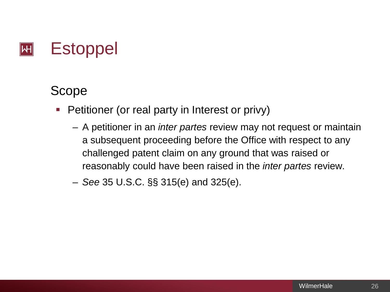### **Estoppel**  $\left\Vert \mathsf{H}\right\Vert$

## Scope

- Petitioner (or real party in Interest or privy)
	- A petitioner in an *inter partes* review may not request or maintain a subsequent proceeding before the Office with respect to any challenged patent claim on any ground that was raised or reasonably could have been raised in the *inter partes* review.
	- *See* 35 U.S.C. §§ 315(e) and 325(e).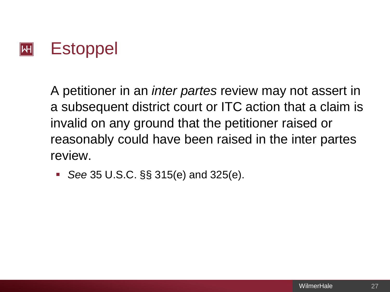

A petitioner in an *inter partes* review may not assert in a subsequent district court or ITC action that a claim is invalid on any ground that the petitioner raised or reasonably could have been raised in the inter partes review.

■ *See* 35 U.S.C. §§ 315(e) and 325(e).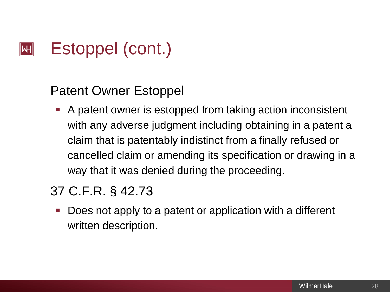#### Estoppel (cont.)  $\left\Vert \mathsf{H}\right\Vert$

### Patent Owner Estoppel

 A patent owner is estopped from taking action inconsistent with any adverse judgment including obtaining in a patent a claim that is patentably indistinct from a finally refused or cancelled claim or amending its specification or drawing in a way that it was denied during the proceeding.

# 37 C.F.R. § 42.73

 Does not apply to a patent or application with a different written description.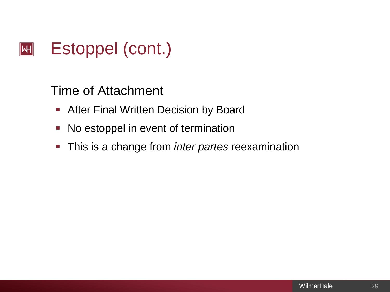#### Estoppel (cont.)  $|\mathsf{H}|$

Time of Attachment

- **After Final Written Decision by Board**
- No estoppel in event of termination
- This is a change from *inter partes* reexamination